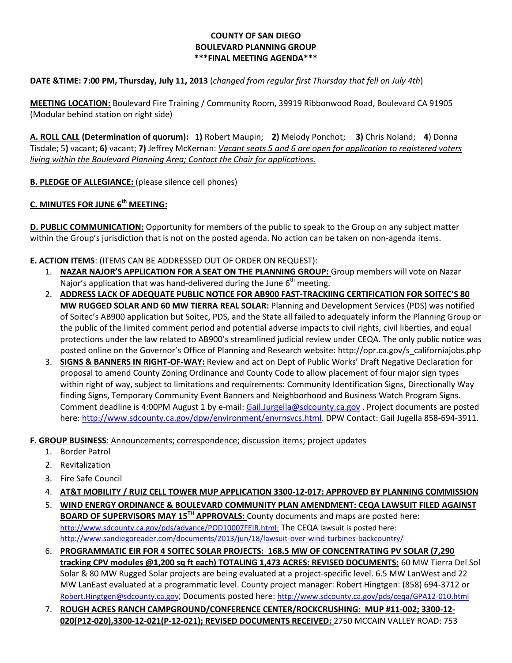#### **COUNTY OF SAN DIEGO BOULEVARD PLANNING GROUP \*\*\*FINAL MEETING AGENDA\*\*\***

## **DATE &TIME: 7:00 PM, Thursday, July 11, 2013** (*changed from regular first Thursday that fell on July 4th*)

**MEETING LOCATION:** Boulevard Fire Training / Community Room, 39919 Ribbonwood Road, Boulevard CA 91905 (Modular behind station on right side)

**A. ROLL CALL (Determination of quorum): 1)** Robert Maupin; **2)** Melody Ponchot; **3)** Chris Noland; **4**) Donna Tisdale; 5**)** vacant; **6)** vacant; **7)** Jeffrey McKernan: *Vacant seats 5 and 6 are open for application to registered voters living within the Boulevard Planning Area; Contact the Chair for applications.* 

**B. PLEDGE OF ALLEGIANCE:** (please silence cell phones)

# **C. MINUTES FOR JUNE 6 th MEETING:**

**D. PUBLIC COMMUNICATION:** Opportunity for members of the public to speak to the Group on any subject matter within the Group's jurisdiction that is not on the posted agenda. No action can be taken on non-agenda items.

### **E. ACTION ITEMS**: (ITEMS CAN BE ADDRESSED OUT OF ORDER ON REQUEST):

- 1. **NAZAR NAJOR'S APPLICATION FOR A SEAT ON THE PLANNING GROUP:** Group members will vote on Nazar Najor's application that was hand-delivered during the June  $6<sup>th</sup>$  meeting.
- 2. **ADDRESS LACK OF ADEQUATE PUBLIC NOTICE FOR AB900 FAST-TRACKIING CERTIFICATION FOR SOITEC'S 80 MW RUGGED SOLAR AND 60 MW TIERRA REAL SOLAR:** Planning and Development Services (PDS) was notified of Soitec's AB900 application but Soitec, PDS, and the State all failed to adequately inform the Planning Group or the public of the limited comment period and potential adverse impacts to civil rights, civil liberties, and equal protections under the law related to AB900's streamlined judicial review under CEQA. The only public notice was posted online on the Governor's Office of Planning and Research website: [http://opr.ca.gov/s\\_californiajobs.php](http://opr.ca.gov/s_californiajobs.php)
- 3. **SIGNS & BANNERS IN RIGHT-OF-WAY:** Review and act on Dept of Public Works' Draft Negative Declaration for proposal to amend County Zoning Ordinance and County Code to allow placement of four major sign types within right of way, subject to limitations and requirements: Community Identification Signs, Directionally Way finding Signs, Temporary Community Event Banners and Neighborhood and Business Watch Program Signs. Comment deadline is 4:00PM August 1 by e-mail[: Gail.Jurgella@sdcounty.ca.gov](mailto:Gail.Jurgella@sdcounty.ca.gov) . Project documents are posted here: [http://www.sdcounty.ca.gov/dpw/environment/envrnsvcs.html.](http://www.sdcounty.ca.gov/dpw/environment/envrnsvcs.html) DPW Contact: Gail Jugella 858-694-3911.

# **F. GROUP BUSINESS**: Announcements; correspondence; discussion items; project updates

- 1. Border Patrol
- 2. Revitalization
- 3. Fire Safe Council
- 4. **AT&T MOBILITY / RUIZ CELL TOWER MUP APPLICATION 3300-12-017: APPROVED BY PLANNING COMMISSION**
- 5. **WIND ENERGY ORDINANCE & BOULEVARD COMMUNITY PLAN AMENDMENT: CEQA LAWSUIT FILED AGAINST BOARD OF SUPERVISORS MAY 15TH APPROVALS:** County documents and maps are posted here: [http://www.sdcounty.ca.gov/pds/advance/POD10007FEIR.html:](http://www.sdcounty.ca.gov/pds/advance/POD10007FEIR.html) The CEQA lawsuit is posted here: <http://www.sandiegoreader.com/documents/2013/jun/18/lawsuit-over-wind-turbines-backcountry/>
- 6. **PROGRAMMATIC EIR FOR 4 SOITEC SOLAR PROJECTS: 168.5 MW OF CONCENTRATING PV SOLAR (7,290 tracking CPV modules @1,200 sq ft each) TOTALING 1,473 ACRES: REVISED DOCUMENTS:** 60 MW Tierra Del Sol Solar & 80 MW Rugged Solar projects are being evaluated at a project-specific level. 6.5 MW LanWest and 22 MW LanEast evaluated at a programmatic level. County project manager: Robert Hingtgen: (858) 694-3712 or [Robert.Hingtgen@sdcounty.ca.gov](mailto:Robert.Hingtgen@sdcounty.ca.gov); Documents posted here: <http://www.sdcounty.ca.gov/pds/ceqa/GPA12-010.html>
- 7. **ROUGH ACRES RANCH CAMPGROUND/CONFERENCE CENTER/ROCKCRUSHING: MUP #11-002; 3300-12- 020(P12-020),3300-12-021(P-12-021); REVISED DOCUMENTS RECEIVED:** 2750 MCCAIN VALLEY ROAD: 753